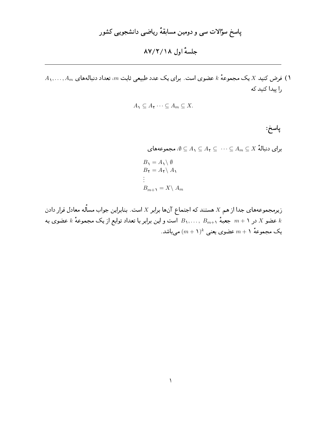جلسة اول ١٨/٢/١٨

 $A_1,\ldots,A_m$  فرض کنید  $X$  یک مجموعهٔ  $k$  عضوی است. برای یک عدد طبیعی ثابت  $m$ ، تعداد دنبالههای را پیدا کنید که

$$
A_1 \subseteq A_1 \cdots \subseteq A_m \subseteq X.
$$

پاسخ :

 $\psi \subseteq A_1 \subseteq A_2 \subseteq \cdots \subseteq A_m \subseteq X$ برای دنبالهٔ  $A_m \subseteq A_m$   $\subseteq X$ 

$$
B_1 = A_1 \setminus \emptyset
$$
  
\n
$$
B_1 = A_1 \setminus A_1
$$
  
\n
$$
\vdots
$$
  
\n
$$
B_{m+1} = X \setminus A_m
$$

زیرمجموعههای جدا از هم X هستند که اجتماع آنها برابر X است. بنابراین جواب مسأله معادل قرار دادن عضو X در ۱ $m+1$  جعبهٔ  $B_{m+1},\ldots,\ B_{m+1}$  است و این برابر با تعداد توابع از یک مجموعهٔ  $k$  عضوی به  $k$ یک مجموعهٔ ۱ $m+1$  عضوی یعنی  $(m+1)^k$  میباشد.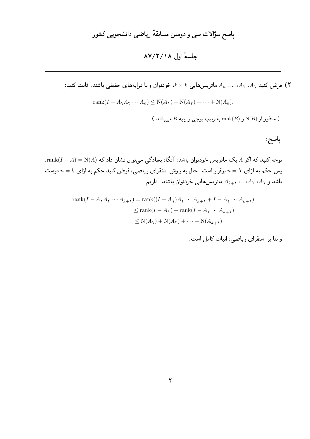نورض کنید  $A_1, A_2, \ldots, A_n$  ماتریس هایی  $k \times k$ ، خودتوان و با درایههای حقیقی باشند. ثابت کنید:  $\blacktriangledown$ 

$$
rank(I - A_1 A_1 \cdots A_n) \le N(A_1) + N(A_1) + \cdots + N(A_n).
$$

ا منظور از (N(B) و rank(B) بهترتیب پوچی و رتبه  $B$  میباشد.)

پاسخ:

 $\operatorname{rank}(I-A)=\operatorname{N}(A)$  توجه کنید که اگر A یک ماتریس خودتوان باشد، آنگاه بسادگی میتوان نشان داد که پس حکم به ازای ۱ $n=1$  برقرار است. حال به روش استقرای ریاضی، فرض کنید حکم به ازای  $n=k$  درست باشد و  $A_1$ ،  $A_2$ ،...،  $A_{k+1}$  ماتریسهایی خودتوان باشند. داریم:

$$
\operatorname{rank}(I - A_1 A_\mathbf{Y} \cdots A_{k+1}) = \operatorname{rank}((I - A_1)A_\mathbf{Y} \cdots A_{k+1} + I - A_\mathbf{Y} \cdots A_{k+1})
$$
  
\n
$$
\leq \operatorname{rank}(I - A_1) + \operatorname{rank}(I - A_\mathbf{Y} \cdots A_{k+1})
$$
  
\n
$$
\leq \operatorname{N}(A_1) + \operatorname{N}(A_\mathbf{Y}) + \cdots + \operatorname{N}(A_{k+1})
$$

و بنا بر استقرای ریاضی، اثبات کامل است.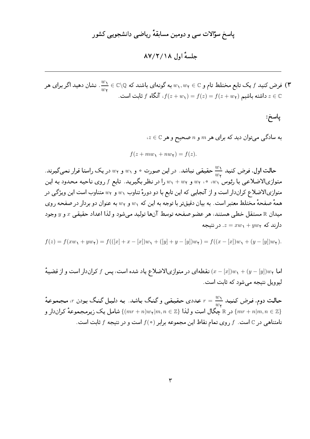### حلسةُ أول ١٨/٢/٢٨

فرض کنید  $f$  یک تابع مختلط تام و $\psi_1,w_2\in w_1, w_2\in w_1, w_2$  به گونهای باشند که  $\frac{w_1}{w_2}\in\mathbb{C}\setminus\overline{\mathfrak{g}}$  نشان دهید اگر برای هر داشته باشیم  $f(z + w_1) = f(z) = f(z + w_1)$ ، آنگاه  $f$  ثابت است.

## پاسخ:

 $a \in \mathbb{C}$  به سادگی میتوان دید که برای هر  $m$  و  $n$  صحیح و هر

$$
f(z + mw_1 + nw_1) = f(z).
$$

حالت اول. فرض کنید  $\frac{w_1}{w_1}$  حقیقی نباشد. در این صورت ۰ و ۱ $w_1$  و ۲ $w$  در یک راستا قرار نمیگیرند. متوازیالاضلاعیی با رئوس ْ ، $w$ ، ۰، ۰، س و  $w_{\rm Y}$  را در نظر بگیرید. تابع  $f$  روی ناحیه محدود به این متوازیالاضلاع کراندار است و از آنجایی که این تابع با دو دورهٔ تناوب ۵۰٫ و ۵۲٫ متناوب است این ویژگی در همهٔ صفحهٔ مختلط معتبر است. به بیان دقیقتر با توجه به این که  $w_1$  و  $w_7$  به عنوان دو بردار در صفحه روی ميدان & مستقل خطي هستند، هر عضو صفحه توسط آنها توليد مي شود و لذا اعداد حقيقي  $x$  و y وجود دارند که  $xyw_1 + yw_2 = x$ . در نتیجه

$$
f(z) = f(xw_1 + yw_1) = f(([x] + x - [x])w_1 + ([y] + y - [y])w_1) = f((x - [x])w_1 + (y - [y])w_1).
$$

اما  $(w - [y])w + (y - [y])w$ ) نقطهای در متوازیالاضلاع یاد شده است، پس  $f$  کراندار است و از قضیهٔ ليوويل نتيجه مي شود كه ثابت است.

حالت دوم. فرض کنید  $\frac{w_1}{w_{\rm{r}}} = r = \frac{w_1}{w_{\rm{r}}}$  عددی حقیقی و گنگ باشد. به دلیل گنگ بودن  $r$ ، مجموعهٔ در & جگال است و لذا  $\{m,n\in\mathbb{Z}\}$  شامل یک زیرمجموعهٔ کراندار و  $\{mr+n\}$  ( $m\neq m+1$ نامتناهی در C است. f روی تمام نقاط این مجموعه برابر (۰) f است و در نتیجه f ثابت است.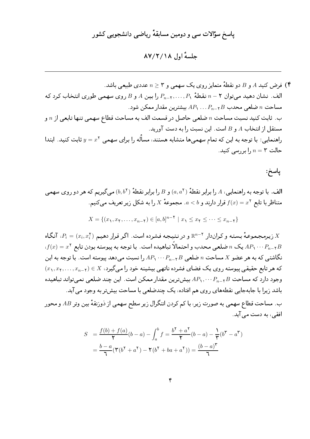### جلسة اول ١٨/٢/٢٨

) فرض کنید A و B دو نقطهً متمایز روی یک سهمی و 7 ≤ n عددی طبیعی باشد.  
الف. نشان دهید میتوان ۲ – ۱، نقطهٔ ۸/۰…۰,۲– ۹، را بین 4 و B روی سهمی طوری انتخاب کرد که  
مساحت ۳ ضلعی محدب B<sub>7</sub>…۲,۰…۲<sub>7</sub>، ۸۰۰ ۸- ۸۸ بیشترین مقدار ممکن شود.  
ب. ثابت کنید نسبت مساحت �n ضلعی حاصل در قسمت الف به مساحت قطاع سهمی تنها تابعی از ۱۵ و  
راهنمایی: با توجه به این که تمام سهمیها متشابه هستند، مسالّه را برای سهمی 
$$
y = x<sup>ا</sup> یات کنید. ابتدا  
حالت ۳ = ۱۰ را بررسی کنید.
$$

پاسخ:

الف. با توجه به راهنمایی، A را برابر نقطهٔ  $(a,a^{\intercal})$  و B را برابر نقطهٔ  $(b,b^{\intercal})$  می $\mathcal{Z}_{\mathbf{x}}$ یم که هر دو روی سهمی . متناظر با تابع  $f(x) = f(x)$  قرار دارند و  $a < b$ . مجموعهٔ X را به شکل زیر تعریف میکنیم

$$
X = \{(x_1, x_1, \dots, x_{n-\tau}) \in [a, b]^{n-\tau} \mid x_1 \le x_1 \le \dots \le x_{n-\tau}\}\
$$

ن ريرمجموعهٔ بسته و كراندار  $\mathbb{R}^{n-1}$  و در نتيجه فشرده است. اگر قرار دهيم  $P_i=(x_i,x_i^{\mathsf{Y}})$ ، آنگاه  $X$  $\lambda(f(x)=x^{\mathsf{T}}$  یک  $n$  ضلعی محدب و احتمالاً تباهیده است. با توجه به پیوسته بودن تابع $AP_{\mathsf{Y}}\cdots P_{n-\mathsf{Y}}B$ نگاشتی که به هر عضو X مساحت n ضلعی  $P_n$ ۲۰۰  $P_n$  را نسبت می دهد پیوسته است. با توجه به این  $(x_1, x_1, \ldots, x_{n-1}) \in X$  که هر تابع حقیقیی پیوسته روی یک فضای فشرده ناتهیی بیشینه خود را میگیرد،  $(X \setminus X)$ وجود دارد که مساحت  $P_n, \cdots P_{n-1}$  بیش ترین مقدار ممکن است. این چند ضلعی نمیتواند تباهیده باشد زیرا با جابهجایی نقطههای روی هم افتاده، یک چندضلعی با مساحت بیش تر به وجود می آید. ب. مساحت قطاع سهمی به صورت زیر، با کم کردن انتگرال زیر سطح سهمی از ذوزنقهٔ بین وتر AB و محور افقی، به دست می آید.

$$
S = \frac{f(b) + f(a)}{\gamma} (b - a) - \int_a^b f = \frac{b^{\gamma} + a^{\gamma}}{\gamma} (b - a) - \frac{\gamma}{\gamma} (b^{\gamma} - a^{\gamma})
$$

$$
= \frac{b - a}{\gamma} (\gamma (b^{\gamma} + a^{\gamma}) - \gamma (b^{\gamma} + ba + a^{\gamma})) = \frac{(b - a)^{\gamma}}{\gamma}
$$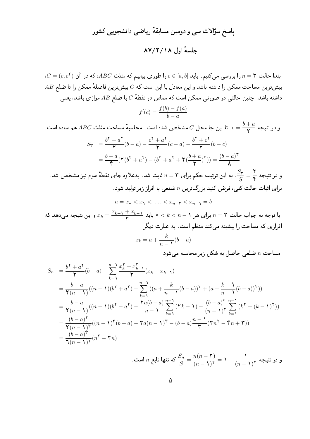## جلسة اول ١٨/٢/١٨

$$
S_n = \frac{b^{\mathsf{T}} + a^{\mathsf{T}}}{\mathsf{Y}} (b - a) - \sum_{k=1}^{n-1} \frac{x_k^{\mathsf{T}} + x_{k-1}^{\mathsf{T}}}{\mathsf{Y}} (x_k - x_{k-1})
$$
  
\n
$$
= \frac{b - a}{\mathsf{Y}(n-1)} ((n-1)(b^{\mathsf{T}} + a^{\mathsf{T}}) - \sum_{k=1}^{n-1} ((a + \frac{k}{n-1}(b - a))^{\mathsf{T}} + (a + \frac{k-1}{n-1}(b - a))^{\mathsf{T}}))
$$
  
\n
$$
= \frac{b - a}{\mathsf{Y}(n-1)} ((n-1)(b^{\mathsf{T}} - a^{\mathsf{T}}) - \frac{\mathsf{T}a(b - a)}{n-1} \sum_{k=1}^{n-1} (\mathsf{T}k - 1) - \frac{(b - a)^{\mathsf{T}}}{(n-1)^{\mathsf{T}}} \sum_{k=1}^{n-1} (k^{\mathsf{T}} + (k-1)^{\mathsf{T}}))
$$
  
\n
$$
= \frac{(b - a)^{\mathsf{T}}}{\mathsf{Y}(n-1)^{\mathsf{T}}} ((n-1)^{\mathsf{T}} (b + a) - \mathsf{T}a(n-1)^{\mathsf{T}} - (b - a) \frac{n-1}{\mathsf{T}} (\mathsf{T}n^{\mathsf{T}} - \mathsf{T}n + \mathsf{T}))
$$
  
\n
$$
= \frac{(b - a)^{\mathsf{T}}}{\mathsf{T}(n-1)^{\mathsf{T}}} (n^{\mathsf{T}} - \mathsf{T}n)
$$

و در نتیجه  $n$  است.  $\displaystyle\frac{S_n}{S}=\frac{n(n-1)}{(n-1)^{1}}=1-\frac{1}{(n-1)^{1}}$  که تنها تابع  $n$  است.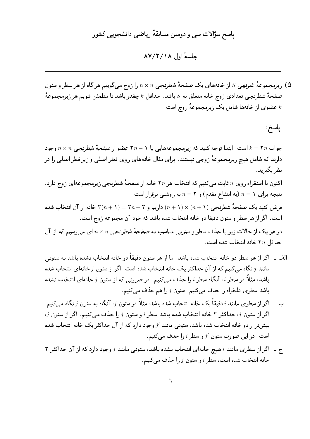### حلسةُ أول ١٨/٢/٢٨

نیرمجموعهٔ غیرتهیی  $S$  از خانههای یک صفحهٔ شطرنجی  $n\times n$  را زوج میگوییم هر گاه از هر سطر و ستون (۵ صفحهٔ شطرنجی تعدادی زوج خانه متعلق به  $S$  باشد. حداقل  $k$  چقدر باشد تا مطمئن شویم هر زیرمجموعهٔ عضوي از خانهها شامل يک زيرمجموعهٔ زوج است.  $k$ 

پاسخ:

جواب ٢ $k=1$  است. ابتدا توجه کنید که زیرمجموعههایی با ١ $n-1$  عضو از صفحهٔ شطرنجی  $n\times n$  وجود دارند که شامل هیچ زیرمجموعهٔ زوجی نیستند. برای مثال خانههای روی قطر اصلی و زیر قطر اصلی را در نظر بگیرید.

اکنون با استقراء روی n ثابت میکنیم که انتخاب هر ۲n خانه از صفحهٔ شطرنجی زیرمجموعهای زوج دارد. نتیجه برای ۱ $n=1$  (به انتفاع مقدم) و ۲ $n=n$  به روشنبی برقرار است. فرض کنید یک صفحهٔ شطرنجی (۱ + n) × (۱ + n) داریم و ۲ + ۲n = (۱ + ۲) خانه از آن انتخاب شده است. اگر از هر سطر و ستون دقیقاً دو خانه انتخاب شده باشد که خود آن مجموعه زوج است. در هر یک از حالات زیر با حذف سطر و ستونبی مناسب به صفحهٔ شطرنجبی  $n\times n$  ای میرسیم که از آن حداقل ٢n خانه انتخاب شده است.

- الف \_ اگر از هر سطر دو خانه انتخاب شده باشد، اما از هر ستون دقیقاً دو خانه انتخاب نشده باشد به ستونی مانند  $j$  نگاه می کنیم که از آن حداکثر یک خانه انتخاب شده است. اگر از ستون  $j$  خانهای انتخاب شده باشد، مثلاً در سطر i، آنگاه سطر i را حذف مییکنیم. در صورتبی که از ستون  $j$  خانهای انتخاب نشده باشد سطری دلخواه را حذف میکنیم. ستون  $j$  را هم حذف میکنیم.
- ب \_ اگر ا<sub>ن</sub> سطری مانند i دقیقاً یک خانه انتخاب شده باشد، مثلاً در ستون i، آنگاه به ستون j نگاه میکنیم.  $i$ اگر از ستون  $j$ ، حداکثر ۲ خانه انتخاب شده باشد سطر  $i$  و ستون  $j$  را حذف می کنیم. اگر از ستون  $j$ بیش تر از دو خانه انتخاب شده باشد، ستونبی مانند / وجود دارد که از آن حداکثر یک خانه انتخاب شده است. در این صورت ستون  $j'$  و سطر  $i$  را حذف می کنیم.
- ج \_ اگر از سطری مانند i هیچ خانهای انتخاب نشده باشد، ستونی مانند j وجود دارد که از آن حداکثر ۲ خانه انتخاب شده است، سطر  $i$  و ستون  $j$  را حذف مى كنيم.